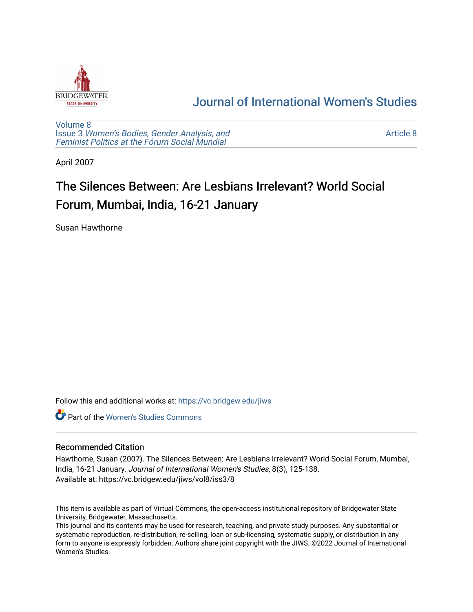

# [Journal of International Women's Studies](https://vc.bridgew.edu/jiws)

[Volume 8](https://vc.bridgew.edu/jiws/vol8) Issue 3 [Women's Bodies, Gender Analysis, and](https://vc.bridgew.edu/jiws/vol8/iss3) [Feminist Politics at the Fórum Social Mundial](https://vc.bridgew.edu/jiws/vol8/iss3)

[Article 8](https://vc.bridgew.edu/jiws/vol8/iss3/8) 

April 2007

# The Silences Between: Are Lesbians Irrelevant? World Social Forum, Mumbai, India, 16-21 January

Susan Hawthorne

Follow this and additional works at: [https://vc.bridgew.edu/jiws](https://vc.bridgew.edu/jiws?utm_source=vc.bridgew.edu%2Fjiws%2Fvol8%2Fiss3%2F8&utm_medium=PDF&utm_campaign=PDFCoverPages)

**C** Part of the Women's Studies Commons

#### Recommended Citation

Hawthorne, Susan (2007). The Silences Between: Are Lesbians Irrelevant? World Social Forum, Mumbai, India, 16-21 January. Journal of International Women's Studies, 8(3), 125-138. Available at: https://vc.bridgew.edu/jiws/vol8/iss3/8

This item is available as part of Virtual Commons, the open-access institutional repository of Bridgewater State University, Bridgewater, Massachusetts.

This journal and its contents may be used for research, teaching, and private study purposes. Any substantial or systematic reproduction, re-distribution, re-selling, loan or sub-licensing, systematic supply, or distribution in any form to anyone is expressly forbidden. Authors share joint copyright with the JIWS. ©2022 Journal of International Women's Studies.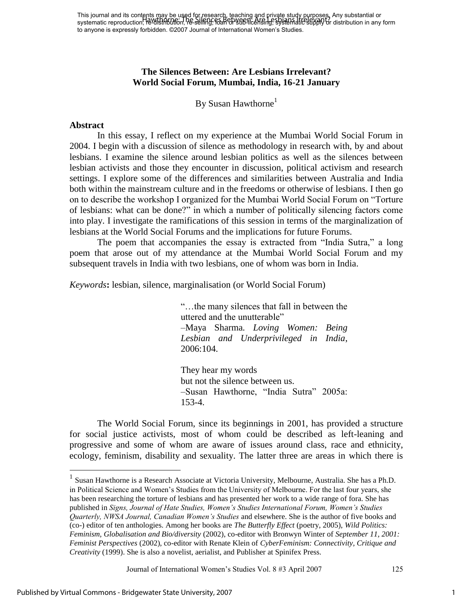This journal and its contents may be used for research, teaching and private study purposes. Any substantial or This journal and its concents that the current research, reading and private study purposes. Any substantial or<br>systematic reproduction, Revalshabilition, he selling, real chysical sing, systematic supply or distribution i to anyone is expressly forbidden. ©2007 Journal of International Women's Studies.

# **The Silences Between: Are Lesbians Irrelevant? World Social Forum, Mumbai, India, 16-21 January**

By Susan Hawthorne<sup>1</sup>

#### **Abstract**

In this essay, I reflect on my experience at the Mumbai World Social Forum in 2004. I begin with a discussion of silence as methodology in research with, by and about lesbians. I examine the silence around lesbian politics as well as the silences between lesbian activists and those they encounter in discussion, political activism and research settings. I explore some of the differences and similarities between Australia and India both within the mainstream culture and in the freedoms or otherwise of lesbians. I then go on to describe the workshop I organized for the Mumbai World Social Forum on "Torture" of lesbians: what can be done?‖ in which a number of politically silencing factors come into play. I investigate the ramifications of this session in terms of the marginalization of lesbians at the World Social Forums and the implications for future Forums.

The poem that accompanies the essay is extracted from "India Sutra," a long poem that arose out of my attendance at the Mumbai World Social Forum and my subsequent travels in India with two lesbians, one of whom was born in India.

*Keywords***:** lesbian, silence, marginalisation (or World Social Forum)

―…the many silences that fall in between the uttered and the unutterable" –Maya Sharma. *Loving Women: Being Lesbian and Underprivileged in India*, 2006:104.

They hear my words but not the silence between us. –Susan Hawthorne, "India Sutra" 2005a: 153-4.

The World Social Forum, since its beginnings in 2001, has provided a structure for social justice activists, most of whom could be described as left-leaning and progressive and some of whom are aware of issues around class, race and ethnicity, ecology, feminism, disability and sexuality. The latter three are areas in which there is

Journal of International Women's Studies Vol. 8 #3 April 2007 125

<sup>&</sup>lt;sup>1</sup> Susan Hawthorne is a Research Associate at Victoria University, Melbourne, Australia. She has a Ph.D. in Political Science and Women's Studies from the University of Melbourne. For the last four years, she has been researching the torture of lesbians and has presented her work to a wide range of fora. She has published in *Signs, Journal of Hate Studies, Women's Studies International Forum, Women's Studies Quarterly, NWSA Journal, Canadian Women's Studies* and elsewhere. She is the author of five books and (co-) editor of ten anthologies. Among her books are *The Butterfly Effect* (poetry, 2005), *Wild Politics: Feminism, Globalisation and Bio/diversity* (2002), co-editor with Bronwyn Winter of *September 11, 2001: Feminist Perspectives* (2002), co-editor with Renate Klein of *CyberFeminism: Connectivity, Critique and Creativity* (1999). She is also a novelist, aerialist, and Publisher at Spinifex Press.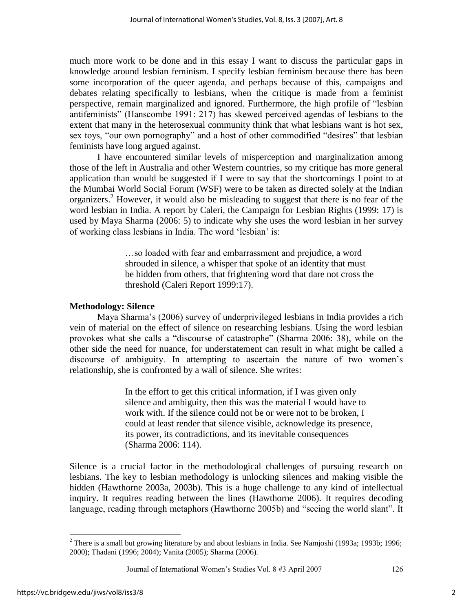much more work to be done and in this essay I want to discuss the particular gaps in knowledge around lesbian feminism. I specify lesbian feminism because there has been some incorporation of the queer agenda, and perhaps because of this, campaigns and debates relating specifically to lesbians, when the critique is made from a feminist perspective, remain marginalized and ignored. Furthermore, the high profile of "lesbian antifeminists‖ (Hanscombe 1991: 217) has skewed perceived agendas of lesbians to the extent that many in the heterosexual community think that what lesbians want is hot sex, sex toys, "our own pornography" and a host of other commodified "desires" that lesbian feminists have long argued against.

I have encountered similar levels of misperception and marginalization among those of the left in Australia and other Western countries, so my critique has more general application than would be suggested if I were to say that the shortcomings I point to at the Mumbai World Social Forum (WSF) were to be taken as directed solely at the Indian organizers.<sup>2</sup> However, it would also be misleading to suggest that there is no fear of the word lesbian in India. A report by Caleri, the Campaign for Lesbian Rights (1999: 17) is used by Maya Sharma (2006: 5) to indicate why she uses the word lesbian in her survey of working class lesbians in India. The word 'lesbian' is:

> …so loaded with fear and embarrassment and prejudice, a word shrouded in silence, a whisper that spoke of an identity that must be hidden from others, that frightening word that dare not cross the threshold (Caleri Report 1999:17).

# **Methodology: Silence**

Maya Sharma's (2006) survey of underprivileged lesbians in India provides a rich vein of material on the effect of silence on researching lesbians. Using the word lesbian provokes what she calls a "discourse of catastrophe" (Sharma 2006: 38), while on the other side the need for nuance, for understatement can result in what might be called a discourse of ambiguity. In attempting to ascertain the nature of two women's relationship, she is confronted by a wall of silence. She writes:

> In the effort to get this critical information, if I was given only silence and ambiguity, then this was the material I would have to work with. If the silence could not be or were not to be broken, I could at least render that silence visible, acknowledge its presence, its power, its contradictions, and its inevitable consequences (Sharma 2006: 114).

Silence is a crucial factor in the methodological challenges of pursuing research on lesbians. The key to lesbian methodology is unlocking silences and making visible the hidden (Hawthorne 2003a, 2003b). This is a huge challenge to any kind of intellectual inquiry. It requires reading between the lines (Hawthorne 2006). It requires decoding language, reading through metaphors (Hawthorne 2005b) and "seeing the world slant". It

Journal of International Women's Studies Vol. 8 #3 April 2007 126

<sup>&</sup>lt;sup>2</sup> There is a small but growing literature by and about lesbians in India. See Namjoshi (1993a; 1993b; 1996; 2000); Thadani (1996; 2004); Vanita (2005); Sharma (2006).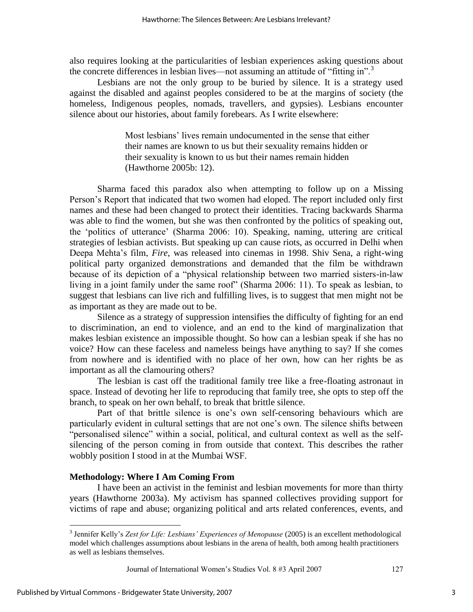also requires looking at the particularities of lesbian experiences asking questions about the concrete differences in lesbian lives—not assuming an attitude of "fitting in".<sup>3</sup>

Lesbians are not the only group to be buried by silence. It is a strategy used against the disabled and against peoples considered to be at the margins of society (the homeless, Indigenous peoples, nomads, travellers, and gypsies). Lesbians encounter silence about our histories, about family forebears. As I write elsewhere:

> Most lesbians' lives remain undocumented in the sense that either their names are known to us but their sexuality remains hidden or their sexuality is known to us but their names remain hidden (Hawthorne 2005b: 12).

Sharma faced this paradox also when attempting to follow up on a Missing Person's Report that indicated that two women had eloped. The report included only first names and these had been changed to protect their identities. Tracing backwards Sharma was able to find the women, but she was then confronted by the politics of speaking out, the ‗politics of utterance' (Sharma 2006: 10). Speaking, naming, uttering are critical strategies of lesbian activists. But speaking up can cause riots, as occurred in Delhi when Deepa Mehta's film, *Fire*, was released into cinemas in 1998. Shiv Sena, a right-wing political party organized demonstrations and demanded that the film be withdrawn because of its depiction of a "physical relationship between two married sisters-in-law living in a joint family under the same roof" (Sharma 2006: 11). To speak as lesbian, to suggest that lesbians can live rich and fulfilling lives, is to suggest that men might not be as important as they are made out to be.

Silence as a strategy of suppression intensifies the difficulty of fighting for an end to discrimination, an end to violence, and an end to the kind of marginalization that makes lesbian existence an impossible thought. So how can a lesbian speak if she has no voice? How can these faceless and nameless beings have anything to say? If she comes from nowhere and is identified with no place of her own, how can her rights be as important as all the clamouring others?

 The lesbian is cast off the traditional family tree like a free-floating astronaut in space. Instead of devoting her life to reproducing that family tree, she opts to step off the branch, to speak on her own behalf, to break that brittle silence.

Part of that brittle silence is one's own self-censoring behaviours which are particularly evident in cultural settings that are not one's own. The silence shifts between "personalised silence" within a social, political, and cultural context as well as the selfsilencing of the person coming in from outside that context. This describes the rather wobbly position I stood in at the Mumbai WSF.

#### **Methodology: Where I Am Coming From**

I have been an activist in the feminist and lesbian movements for more than thirty years (Hawthorne 2003a). My activism has spanned collectives providing support for victims of rape and abuse; organizing political and arts related conferences, events, and

Journal of International Women's Studies Vol. 8 #3 April 2007 127

<sup>3</sup> Jennifer Kelly's *Zest for Life: Lesbians' Experiences of Menopause* (2005) is an excellent methodological model which challenges assumptions about lesbians in the arena of health, both among health practitioners as well as lesbians themselves.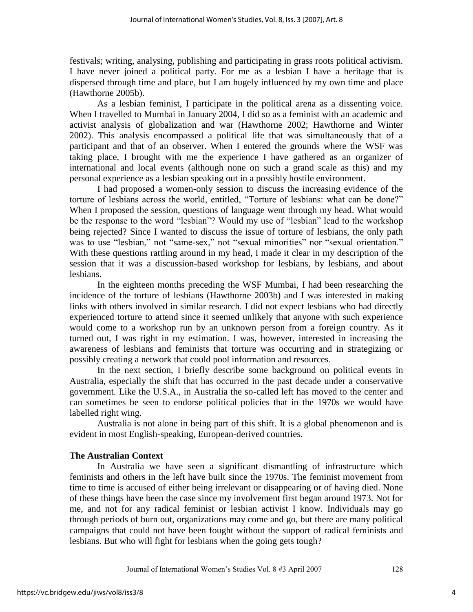festivals; writing, analysing, publishing and participating in grass roots political activism. I have never joined a political party. For me as a lesbian I have a heritage that is dispersed through time and place, but I am hugely influenced by my own time and place (Hawthorne 2005b).

As a lesbian feminist, I participate in the political arena as a dissenting voice. When I travelled to Mumbai in January 2004, I did so as a feminist with an academic and activist analysis of globalization and war (Hawthorne 2002; Hawthorne and Winter 2002). This analysis encompassed a political life that was simultaneously that of a participant and that of an observer. When I entered the grounds where the WSF was taking place, I brought with me the experience I have gathered as an organizer of international and local events (although none on such a grand scale as this) and my personal experience as a lesbian speaking out in a possibly hostile environment.

I had proposed a women-only session to discuss the increasing evidence of the torture of lesbians across the world, entitled, "Torture of lesbians: what can be done?" When I proposed the session, questions of language went through my head. What would be the response to the word "lesbian"? Would my use of "lesbian" lead to the workshop being rejected? Since I wanted to discuss the issue of torture of lesbians, the only path was to use "lesbian," not "same-sex," not "sexual minorities" nor "sexual orientation." With these questions rattling around in my head, I made it clear in my description of the session that it was a discussion-based workshop for lesbians, by lesbians, and about lesbians.

In the eighteen months preceding the WSF Mumbai, I had been researching the incidence of the torture of lesbians (Hawthorne 2003b) and I was interested in making links with others involved in similar research. I did not expect lesbians who had directly experienced torture to attend since it seemed unlikely that anyone with such experience would come to a workshop run by an unknown person from a foreign country. As it turned out, I was right in my estimation. I was, however, interested in increasing the awareness of lesbians and feminists that torture was occurring and in strategizing or possibly creating a network that could pool information and resources.

In the next section, I briefly describe some background on political events in Australia, especially the shift that has occurred in the past decade under a conservative government. Like the U.S.A., in Australia the so-called left has moved to the center and can sometimes be seen to endorse political policies that in the 1970s we would have labelled right wing.

Australia is not alone in being part of this shift. It is a global phenomenon and is evident in most English-speaking, European-derived countries.

# **The Australian Context**

In Australia we have seen a significant dismantling of infrastructure which feminists and others in the left have built since the 1970s. The feminist movement from time to time is accused of either being irrelevant or disappearing or of having died. None of these things have been the case since my involvement first began around 1973. Not for me, and not for any radical feminist or lesbian activist I know. Individuals may go through periods of burn out, organizations may come and go, but there are many political campaigns that could not have been fought without the support of radical feminists and lesbians. But who will fight for lesbians when the going gets tough?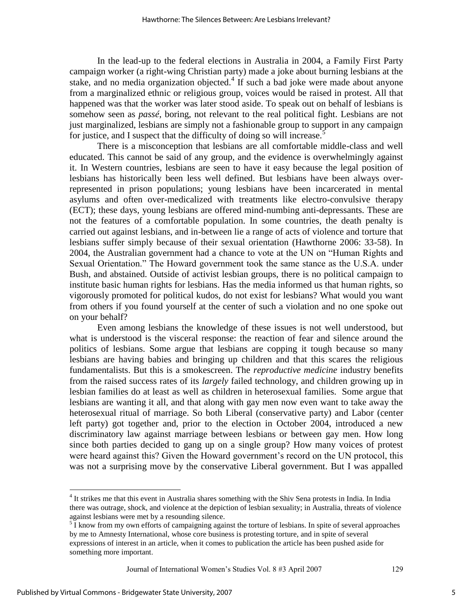In the lead-up to the federal elections in Australia in 2004, a Family First Party campaign worker (a right-wing Christian party) made a joke about burning lesbians at the stake, and no media organization objected.<sup>4</sup> If such a bad joke were made about anyone from a marginalized ethnic or religious group, voices would be raised in protest. All that happened was that the worker was later stood aside. To speak out on behalf of lesbians is somehow seen as *passé*, boring, not relevant to the real political fight. Lesbians are not just marginalized, lesbians are simply not a fashionable group to support in any campaign for justice, and I suspect that the difficulty of doing so will increase.<sup>5</sup>

There is a misconception that lesbians are all comfortable middle-class and well educated. This cannot be said of any group, and the evidence is overwhelmingly against it. In Western countries, lesbians are seen to have it easy because the legal position of lesbians has historically been less well defined. But lesbians have been always overrepresented in prison populations; young lesbians have been incarcerated in mental asylums and often over-medicalized with treatments like electro-convulsive therapy (ECT); these days, young lesbians are offered mind-numbing anti-depressants. These are not the features of a comfortable population. In some countries, the death penalty is carried out against lesbians, and in-between lie a range of acts of violence and torture that lesbians suffer simply because of their sexual orientation (Hawthorne 2006: 33-58). In 2004, the Australian government had a chance to vote at the UN on "Human Rights and Sexual Orientation." The Howard government took the same stance as the U.S.A. under Bush, and abstained. Outside of activist lesbian groups, there is no political campaign to institute basic human rights for lesbians. Has the media informed us that human rights, so vigorously promoted for political kudos, do not exist for lesbians? What would you want from others if you found yourself at the center of such a violation and no one spoke out on your behalf?

Even among lesbians the knowledge of these issues is not well understood, but what is understood is the visceral response: the reaction of fear and silence around the politics of lesbians. Some argue that lesbians are copping it tough because so many lesbians are having babies and bringing up children and that this scares the religious fundamentalists. But this is a smokescreen. The *reproductive medicine* industry benefits from the raised success rates of its *largely* failed technology, and children growing up in lesbian families do at least as well as children in heterosexual families. Some argue that lesbians are wanting it all, and that along with gay men now even want to take away the heterosexual ritual of marriage. So both Liberal (conservative party) and Labor (center left party) got together and, prior to the election in October 2004, introduced a new discriminatory law against marriage between lesbians or between gay men. How long since both parties decided to gang up on a single group? How many voices of protest were heard against this? Given the Howard government's record on the UN protocol, this was not a surprising move by the conservative Liberal government. But I was appalled

Journal of International Women's Studies Vol. 8 #3 April 2007 129

<sup>&</sup>lt;sup>4</sup> It strikes me that this event in Australia shares something with the Shiv Sena protests in India. In India there was outrage, shock, and violence at the depiction of lesbian sexuality; in Australia, threats of violence against lesbians were met by a resounding silence.

 $5\overline{I}$  know from my own efforts of campaigning against the torture of lesbians. In spite of several approaches by me to Amnesty International, whose core business is protesting torture, and in spite of several expressions of interest in an article, when it comes to publication the article has been pushed aside for something more important.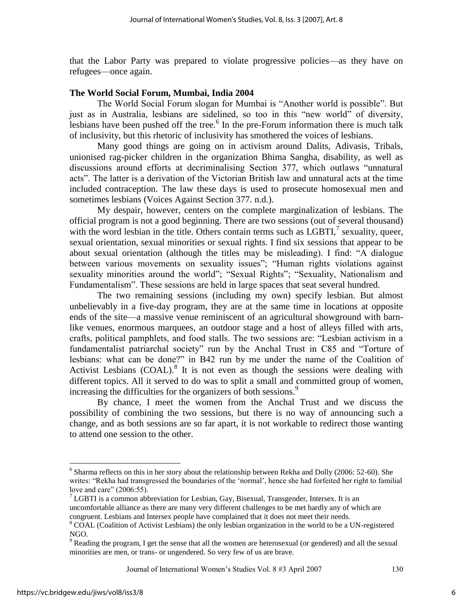that the Labor Party was prepared to violate progressive policies—as they have on refugees—once again.

#### **The World Social Forum, Mumbai, India 2004**

The World Social Forum slogan for Mumbai is "Another world is possible". But just as in Australia, lesbians are sidelined, so too in this "new world" of diversity, lesbians have been pushed off the tree.<sup>6</sup> In the pre-Forum information there is much talk of inclusivity, but this rhetoric of inclusivity has smothered the voices of lesbians.

Many good things are going on in activism around Dalits, Adivasis, Tribals, unionised rag-picker children in the organization Bhima Sangha, disability, as well as discussions around efforts at decriminalising Section 377, which outlaws "unnatural acts‖. The latter is a derivation of the Victorian British law and unnatural acts at the time included contraception. The law these days is used to prosecute homosexual men and sometimes lesbians (Voices Against Section 377. n.d.).

My despair, however, centers on the complete marginalization of lesbians. The official program is not a good beginning. There are two sessions (out of several thousand) with the word lesbian in the title. Others contain terms such as  $LGBTI$ , sexuality, queer, sexual orientation, sexual minorities or sexual rights. I find six sessions that appear to be about sexual orientation (although the titles may be misleading). I find: "A dialogue between various movements on sexuality issues"; "Human rights violations against sexuality minorities around the world"; "Sexual Rights"; "Sexuality, Nationalism and Fundamentalism". These sessions are held in large spaces that seat several hundred.

The two remaining sessions (including my own) specify lesbian. But almost unbelievably in a five-day program, they are at the same time in locations at opposite ends of the site—a massive venue reminiscent of an agricultural showground with barnlike venues, enormous marquees, an outdoor stage and a host of alleys filled with arts, crafts, political pamphlets, and food stalls. The two sessions are: "Lesbian activism in a fundamentalist patriarchal society" run by the Anchal Trust in C85 and "Torture of lesbians: what can be done?" in B42 run by me under the name of the Coalition of Activist Lesbians  $(COAL)$ .<sup>8</sup> It is not even as though the sessions were dealing with different topics. All it served to do was to split a small and committed group of women, increasing the difficulties for the organizers of both sessions.<sup>9</sup>

By chance, I meet the women from the Anchal Trust and we discuss the possibility of combining the two sessions, but there is no way of announcing such a change, and as both sessions are so far apart, it is not workable to redirect those wanting to attend one session to the other.

Journal of International Women's Studies Vol. 8 #3 April 2007 130

 $6$  Sharma reflects on this in her story about the relationship between Rekha and Dolly (2006: 52-60). She writes: "Rekha had transgressed the boundaries of the 'normal', hence she had forfeited her right to familial love and care"  $(2006:55)$ .

<sup>&</sup>lt;sup>7</sup> LGBTI is a common abbreviation for Lesbian, Gay, Bisexual, Transgender, Intersex. It is an uncomfortable alliance as there are many very different challenges to be met hardly any of which are congruent. Lesbians and Intersex people have complained that it does not meet their needs.

<sup>&</sup>lt;sup>8</sup> COAL (Coalition of Activist Lesbians) the only lesbian organization in the world to be a UN-registered NGO.

<sup>&</sup>lt;sup>9</sup> Reading the program, I get the sense that all the women are heterosexual (or gendered) and all the sexual minorities are men, or trans- or ungendered. So very few of us are brave.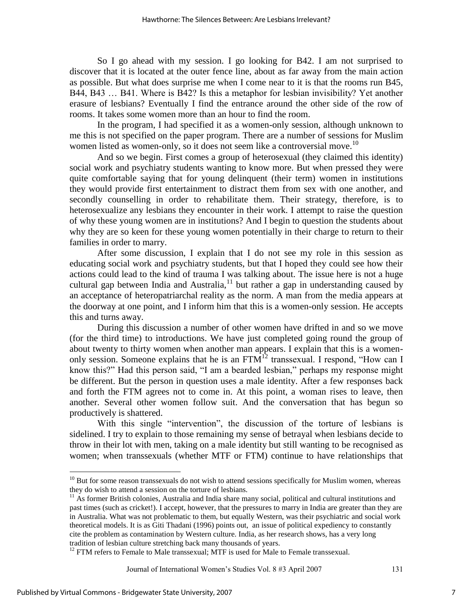So I go ahead with my session. I go looking for B42. I am not surprised to discover that it is located at the outer fence line, about as far away from the main action as possible. But what does surprise me when I come near to it is that the rooms run B45, B44, B43 … B41. Where is B42? Is this a metaphor for lesbian invisibility? Yet another erasure of lesbians? Eventually I find the entrance around the other side of the row of rooms. It takes some women more than an hour to find the room.

In the program, I had specified it as a women-only session, although unknown to me this is not specified on the paper program. There are a number of sessions for Muslim women listed as women-only, so it does not seem like a controversial move.<sup>10</sup>

And so we begin. First comes a group of heterosexual (they claimed this identity) social work and psychiatry students wanting to know more. But when pressed they were quite comfortable saying that for young delinquent (their term) women in institutions they would provide first entertainment to distract them from sex with one another, and secondly counselling in order to rehabilitate them. Their strategy, therefore, is to heterosexualize any lesbians they encounter in their work. I attempt to raise the question of why these young women are in institutions? And I begin to question the students about why they are so keen for these young women potentially in their charge to return to their families in order to marry.

After some discussion, I explain that I do not see my role in this session as educating social work and psychiatry students, but that I hoped they could see how their actions could lead to the kind of trauma I was talking about. The issue here is not a huge cultural gap between India and Australia, $11$  but rather a gap in understanding caused by an acceptance of heteropatriarchal reality as the norm. A man from the media appears at the doorway at one point, and I inform him that this is a women-only session. He accepts this and turns away.

During this discussion a number of other women have drifted in and so we move (for the third time) to introductions. We have just completed going round the group of about twenty to thirty women when another man appears. I explain that this is a womenonly session. Someone explains that he is an  $FTM<sup>12</sup>$  transsexual. I respond, "How can I know this?" Had this person said, "I am a bearded lesbian," perhaps my response might be different. But the person in question uses a male identity. After a few responses back and forth the FTM agrees not to come in. At this point, a woman rises to leave, then another. Several other women follow suit. And the conversation that has begun so productively is shattered.

With this single "intervention", the discussion of the torture of lesbians is sidelined. I try to explain to those remaining my sense of betrayal when lesbians decide to throw in their lot with men, taking on a male identity but still wanting to be recognised as women; when transsexuals (whether MTF or FTM) continue to have relationships that

Journal of International Women's Studies Vol. 8 #3 April 2007 131

<sup>&</sup>lt;sup>10</sup> But for some reason transsexuals do not wish to attend sessions specifically for Muslim women, whereas they do wish to attend a session on the torture of lesbians.

<sup>&</sup>lt;sup>11</sup> As former British colonies, Australia and India share many social, political and cultural institutions and past times (such as cricket!). I accept, however, that the pressures to marry in India are greater than they are in Australia. What was not problematic to them, but equally Western, was their psychiatric and social work theoretical models. It is as Giti Thadani (1996) points out, an issue of political expediency to constantly cite the problem as contamination by Western culture. India, as her research shows, has a very long tradition of lesbian culture stretching back many thousands of years.

 $12$  FTM refers to Female to Male transsexual; MTF is used for Male to Female transsexual.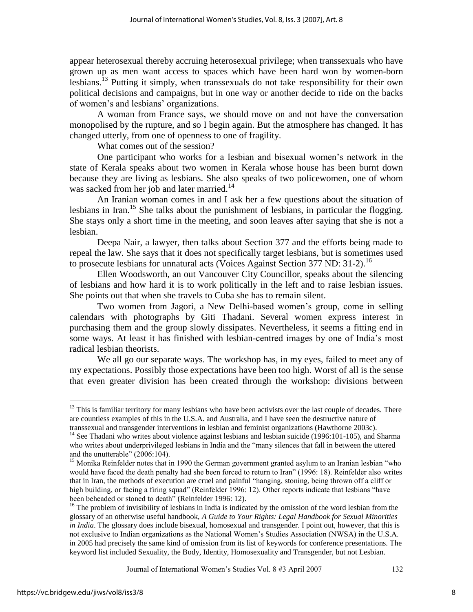appear heterosexual thereby accruing heterosexual privilege; when transsexuals who have grown up as men want access to spaces which have been hard won by women-born lesbians.<sup>13</sup> Putting it simply, when transsexuals do not take responsibility for their own political decisions and campaigns, but in one way or another decide to ride on the backs of women's and lesbians' organizations.

A woman from France says, we should move on and not have the conversation monopolised by the rupture, and so I begin again. But the atmosphere has changed. It has changed utterly, from one of openness to one of fragility.

What comes out of the session?

One participant who works for a lesbian and bisexual women's network in the state of Kerala speaks about two women in Kerala whose house has been burnt down because they are living as lesbians. She also speaks of two policewomen, one of whom was sacked from her job and later married.<sup>14</sup>

An Iranian woman comes in and I ask her a few questions about the situation of lesbians in Iran.<sup>15</sup> She talks about the punishment of lesbians, in particular the flogging. She stays only a short time in the meeting, and soon leaves after saying that she is not a lesbian.

Deepa Nair, a lawyer, then talks about Section 377 and the efforts being made to repeal the law. She says that it does not specifically target lesbians, but is sometimes used to prosecute lesbians for unnatural acts (Voices Against Section 377 ND: 31-2).<sup>16</sup>

Ellen Woodsworth, an out Vancouver City Councillor, speaks about the silencing of lesbians and how hard it is to work politically in the left and to raise lesbian issues. She points out that when she travels to Cuba she has to remain silent.

Two women from Jagori, a New Delhi-based women's group, come in selling calendars with photographs by Giti Thadani. Several women express interest in purchasing them and the group slowly dissipates. Nevertheless, it seems a fitting end in some ways. At least it has finished with lesbian-centred images by one of India's most radical lesbian theorists.

We all go our separate ways. The workshop has, in my eyes, failed to meet any of my expectations. Possibly those expectations have been too high. Worst of all is the sense that even greater division has been created through the workshop: divisions between

Journal of International Women's Studies Vol. 8 #3 April 2007 132

<sup>&</sup>lt;sup>13</sup> This is familiar territory for many lesbians who have been activists over the last couple of decades. There are countless examples of this in the U.S.A. and Australia, and I have seen the destructive nature of transsexual and transgender interventions in lesbian and feminist organizations (Hawthorne 2003c).

<sup>&</sup>lt;sup>14</sup> See Thadani who writes about violence against lesbians and lesbian suicide (1996:101-105), and Sharma who writes about underprivileged lesbians in India and the "many silences that fall in between the uttered and the unutterable"  $(2006:104)$ .

<sup>&</sup>lt;sup>15</sup> Monika Reinfelder notes that in 1990 the German government granted asylum to an Iranian lesbian "who would have faced the death penalty had she been forced to return to Iran" (1996: 18). Reinfelder also writes that in Iran, the methods of execution are cruel and painful "hanging, stoning, being thrown off a cliff or high building, or facing a firing squad" (Reinfelder 1996: 12). Other reports indicate that lesbians "have been beheaded or stoned to death" (Reinfelder 1996: 12).

<sup>&</sup>lt;sup>16</sup> The problem of invisibility of lesbians in India is indicated by the omission of the word lesbian from the glossary of an otherwise useful handbook, *A Guide to Your Rights: Legal Handbook for Sexual Minorities in India*. The glossary does include bisexual, homosexual and transgender. I point out, however, that this is not exclusive to Indian organizations as the National Women's Studies Association (NWSA) in the U.S.A. in 2005 had precisely the same kind of omission from its list of keywords for conference presentations. The keyword list included Sexuality, the Body, Identity, Homosexuality and Transgender, but not Lesbian.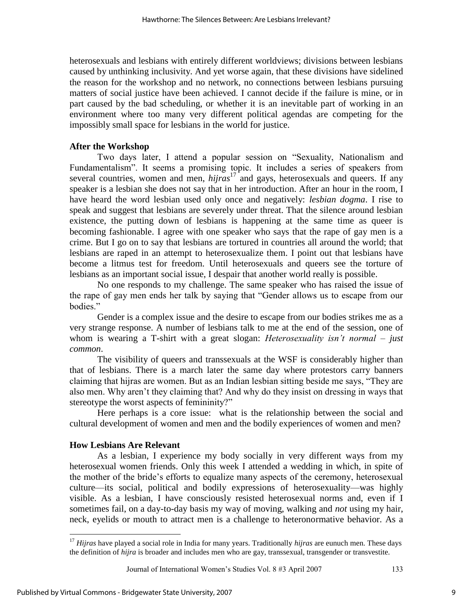heterosexuals and lesbians with entirely different worldviews; divisions between lesbians caused by unthinking inclusivity. And yet worse again, that these divisions have sidelined the reason for the workshop and no network, no connections between lesbians pursuing matters of social justice have been achieved. I cannot decide if the failure is mine, or in part caused by the bad scheduling, or whether it is an inevitable part of working in an environment where too many very different political agendas are competing for the impossibly small space for lesbians in the world for justice.

### **After the Workshop**

Two days later, I attend a popular session on "Sexuality, Nationalism and Fundamentalism". It seems a promising topic. It includes a series of speakers from several countries, women and men, *hijras*<sup>17</sup> and gays, heterosexuals and queers. If any speaker is a lesbian she does not say that in her introduction. After an hour in the room, I have heard the word lesbian used only once and negatively: *lesbian dogma*. I rise to speak and suggest that lesbians are severely under threat. That the silence around lesbian existence, the putting down of lesbians is happening at the same time as queer is becoming fashionable. I agree with one speaker who says that the rape of gay men is a crime. But I go on to say that lesbians are tortured in countries all around the world; that lesbians are raped in an attempt to heterosexualize them. I point out that lesbians have become a litmus test for freedom. Until heterosexuals and queers see the torture of lesbians as an important social issue, I despair that another world really is possible.

No one responds to my challenge. The same speaker who has raised the issue of the rape of gay men ends her talk by saying that "Gender allows us to escape from our bodies."

Gender is a complex issue and the desire to escape from our bodies strikes me as a very strange response. A number of lesbians talk to me at the end of the session, one of whom is wearing a T-shirt with a great slogan: *Heterosexuality isn't normal – just common*.

The visibility of queers and transsexuals at the WSF is considerably higher than that of lesbians. There is a march later the same day where protestors carry banners claiming that hijras are women. But as an Indian lesbian sitting beside me says, "They are also men. Why aren't they claiming that? And why do they insist on dressing in ways that stereotype the worst aspects of femininity?"

Here perhaps is a core issue: what is the relationship between the social and cultural development of women and men and the bodily experiences of women and men?

#### **How Lesbians Are Relevant**

As a lesbian, I experience my body socially in very different ways from my heterosexual women friends. Only this week I attended a wedding in which, in spite of the mother of the bride's efforts to equalize many aspects of the ceremony, heterosexual culture—its social, political and bodily expressions of heterosexuality—was highly visible. As a lesbian, I have consciously resisted heterosexual norms and, even if I sometimes fail, on a day-to-day basis my way of moving, walking and *not* using my hair, neck, eyelids or mouth to attract men is a challenge to heteronormative behavior. As a

<sup>17</sup> *Hijras* have played a social role in India for many years. Traditionally *hijras* are eunuch men. These days the definition of *hijra* is broader and includes men who are gay, transsexual, transgender or transvestite.

Journal of International Women's Studies Vol. 8 #3 April 2007 133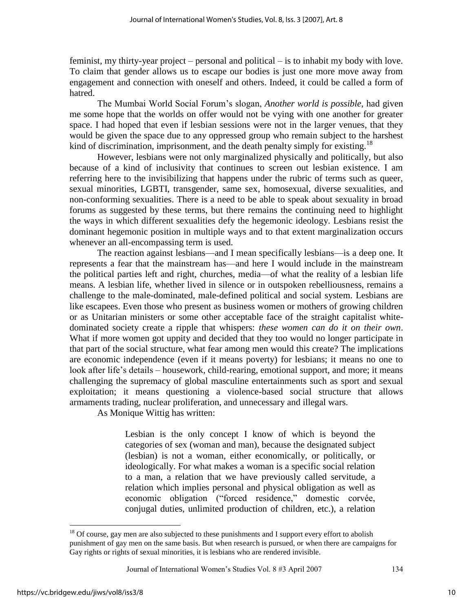feminist, my thirty-year project – personal and political – is to inhabit my body with love. To claim that gender allows us to escape our bodies is just one more move away from engagement and connection with oneself and others. Indeed, it could be called a form of hatred.

The Mumbai World Social Forum's slogan, *Another world is possible*, had given me some hope that the worlds on offer would not be vying with one another for greater space. I had hoped that even if lesbian sessions were not in the larger venues, that they would be given the space due to any oppressed group who remain subject to the harshest kind of discrimination, imprisonment, and the death penalty simply for existing.<sup>18</sup>

However, lesbians were not only marginalized physically and politically, but also because of a kind of inclusivity that continues to screen out lesbian existence. I am referring here to the invisibilizing that happens under the rubric of terms such as queer, sexual minorities, LGBTI, transgender, same sex, homosexual, diverse sexualities, and non-conforming sexualities. There is a need to be able to speak about sexuality in broad forums as suggested by these terms, but there remains the continuing need to highlight the ways in which different sexualities defy the hegemonic ideology. Lesbians resist the dominant hegemonic position in multiple ways and to that extent marginalization occurs whenever an all-encompassing term is used.

The reaction against lesbians—and I mean specifically lesbians—is a deep one. It represents a fear that the mainstream has—and here I would include in the mainstream the political parties left and right, churches, media—of what the reality of a lesbian life means. A lesbian life, whether lived in silence or in outspoken rebelliousness, remains a challenge to the male-dominated, male-defined political and social system. Lesbians are like escapees. Even those who present as business women or mothers of growing children or as Unitarian ministers or some other acceptable face of the straight capitalist whitedominated society create a ripple that whispers: *these women can do it on their own*. What if more women got uppity and decided that they too would no longer participate in that part of the social structure, what fear among men would this create? The implications are economic independence (even if it means poverty) for lesbians; it means no one to look after life's details – housework, child-rearing, emotional support, and more; it means challenging the supremacy of global masculine entertainments such as sport and sexual exploitation; it means questioning a violence-based social structure that allows armaments trading, nuclear proliferation, and unnecessary and illegal wars.

As Monique Wittig has written:

Lesbian is the only concept I know of which is beyond the categories of sex (woman and man), because the designated subject (lesbian) is not a woman, either economically, or politically, or ideologically. For what makes a woman is a specific social relation to a man, a relation that we have previously called servitude, a relation which implies personal and physical obligation as well as economic obligation ("forced residence," domestic corvée, conjugal duties, unlimited production of children, etc.), a relation

<sup>&</sup>lt;sup>18</sup> Of course, gay men are also subjected to these punishments and I support every effort to abolish punishment of gay men on the same basis. But when research is pursued, or when there are campaigns for Gay rights or rights of sexual minorities, it is lesbians who are rendered invisible.

Journal of International Women's Studies Vol. 8 #3 April 2007 134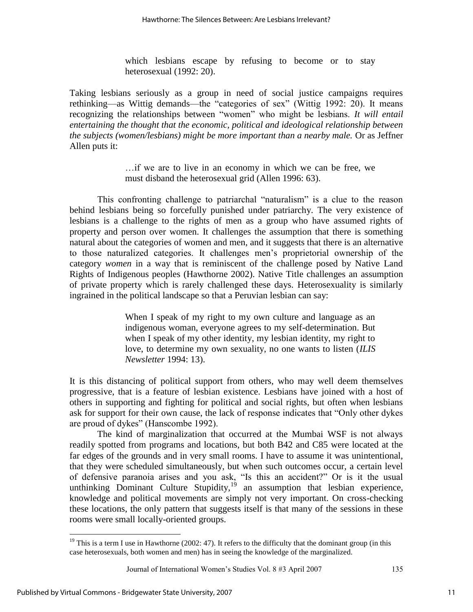which lesbians escape by refusing to become or to stay heterosexual (1992: 20).

Taking lesbians seriously as a group in need of social justice campaigns requires rethinking—as Wittig demands—the "categories of sex" (Wittig 1992: 20). It means recognizing the relationships between "women" who might be lesbians. *It will entail entertaining the thought that the economic, political and ideological relationship between the subjects (women/lesbians) might be more important than a nearby male.* Or as Jeffner Allen puts it:

> …if we are to live in an economy in which we can be free, we must disband the heterosexual grid (Allen 1996: 63).

This confronting challenge to patriarchal "naturalism" is a clue to the reason behind lesbians being so forcefully punished under patriarchy. The very existence of lesbians is a challenge to the rights of men as a group who have assumed rights of property and person over women. It challenges the assumption that there is something natural about the categories of women and men, and it suggests that there is an alternative to those naturalized categories. It challenges men's proprietorial ownership of the category *women* in a way that is reminiscent of the challenge posed by Native Land Rights of Indigenous peoples (Hawthorne 2002). Native Title challenges an assumption of private property which is rarely challenged these days. Heterosexuality is similarly ingrained in the political landscape so that a Peruvian lesbian can say:

> When I speak of my right to my own culture and language as an indigenous woman, everyone agrees to my self-determination. But when I speak of my other identity, my lesbian identity, my right to love, to determine my own sexuality, no one wants to listen (*ILIS Newsletter* 1994: 13).

It is this distancing of political support from others, who may well deem themselves progressive, that is a feature of lesbian existence. Lesbians have joined with a host of others in supporting and fighting for political and social rights, but often when lesbians ask for support for their own cause, the lack of response indicates that "Only other dykes" are proud of dykes" (Hanscombe 1992).

 The kind of marginalization that occurred at the Mumbai WSF is not always readily spotted from programs and locations, but both B42 and C85 were located at the far edges of the grounds and in very small rooms. I have to assume it was unintentional, that they were scheduled simultaneously, but when such outcomes occur, a certain level of defensive paranoia arises and you ask, "Is this an accident?" Or is it the usual unthinking Dominant Culture Stupidity, $19$  an assumption that lesbian experience, knowledge and political movements are simply not very important. On cross-checking these locations, the only pattern that suggests itself is that many of the sessions in these rooms were small locally-oriented groups.

<sup>&</sup>lt;sup>19</sup> This is a term I use in Hawthorne (2002: 47). It refers to the difficulty that the dominant group (in this case heterosexuals, both women and men) has in seeing the knowledge of the marginalized.

Journal of International Women's Studies Vol. 8 #3 April 2007 135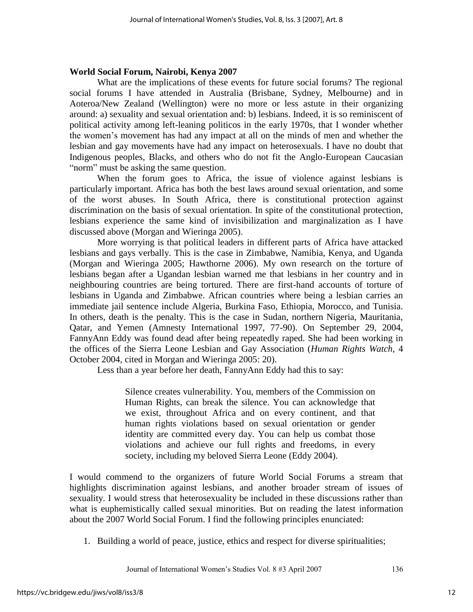### **World Social Forum, Nairobi, Kenya 2007**

 What are the implications of these events for future social forums? The regional social forums I have attended in Australia (Brisbane, Sydney, Melbourne) and in Aoteroa/New Zealand (Wellington) were no more or less astute in their organizing around: a) sexuality and sexual orientation and: b) lesbians. Indeed, it is so reminiscent of political activity among left-leaning politicos in the early 1970s, that I wonder whether the women's movement has had any impact at all on the minds of men and whether the lesbian and gay movements have had any impact on heterosexuals. I have no doubt that Indigenous peoples, Blacks, and others who do not fit the Anglo-European Caucasian "norm" must be asking the same question.

 When the forum goes to Africa, the issue of violence against lesbians is particularly important. Africa has both the best laws around sexual orientation, and some of the worst abuses. In South Africa, there is constitutional protection against discrimination on the basis of sexual orientation. In spite of the constitutional protection, lesbians experience the same kind of invisibilization and marginalization as I have discussed above (Morgan and Wieringa 2005).

 More worrying is that political leaders in different parts of Africa have attacked lesbians and gays verbally. This is the case in Zimbabwe, Namibia, Kenya, and Uganda (Morgan and Wieringa 2005; Hawthorne 2006). My own research on the torture of lesbians began after a Ugandan lesbian warned me that lesbians in her country and in neighbouring countries are being tortured. There are first-hand accounts of torture of lesbians in Uganda and Zimbabwe. African countries where being a lesbian carries an immediate jail sentence include Algeria, Burkina Faso, Ethiopia, Morocco, and Tunisia. In others, death is the penalty. This is the case in Sudan, northern Nigeria, Mauritania, Qatar, and Yemen (Amnesty International 1997, 77-90). On September 29, 2004, FannyAnn Eddy was found dead after being repeatedly raped. She had been working in the offices of the Sierra Leone Lesbian and Gay Association (*Human Rights Watch,* 4 October 2004, cited in Morgan and Wieringa 2005: 20).

Less than a year before her death, FannyAnn Eddy had this to say:

Silence creates vulnerability. You, members of the Commission on Human Rights, can break the silence. You can acknowledge that we exist, throughout Africa and on every continent, and that human rights violations based on sexual orientation or gender identity are committed every day. You can help us combat those violations and achieve our full rights and freedoms, in every society, including my beloved Sierra Leone (Eddy 2004).

I would commend to the organizers of future World Social Forums a stream that highlights discrimination against lesbians, and another broader stream of issues of sexuality. I would stress that heterosexuality be included in these discussions rather than what is euphemistically called sexual minorities. But on reading the latest information about the 2007 World Social Forum. I find the following principles enunciated:

1. Building a world of peace, justice, ethics and respect for diverse spiritualities;

Journal of International Women's Studies Vol. 8 #3 April 2007 136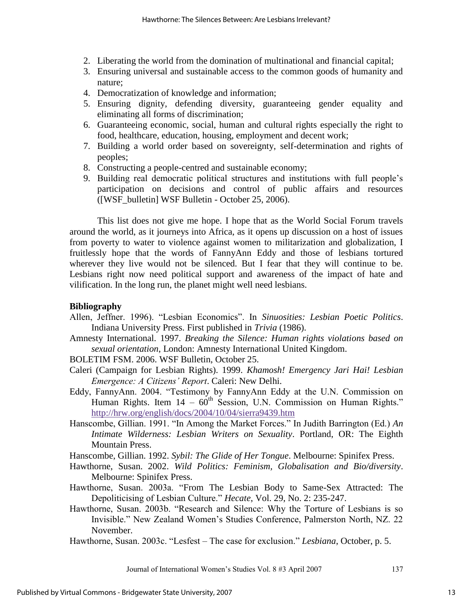- 2. Liberating the world from the domination of multinational and financial capital;
- 3. Ensuring universal and sustainable access to the common goods of humanity and nature;
- 4. Democratization of knowledge and information;
- 5. Ensuring dignity, defending diversity, guaranteeing gender equality and eliminating all forms of discrimination;
- 6. Guaranteeing economic, social, human and cultural rights especially the right to food, healthcare, education, housing, employment and decent work;
- 7. Building a world order based on sovereignty, self-determination and rights of peoples;
- 8. Constructing a people-centred and sustainable economy;
- 9. Building real democratic political structures and institutions with full people's participation on decisions and control of public affairs and resources ([WSF\_bulletin] WSF Bulletin - October 25, 2006).

 This list does not give me hope. I hope that as the World Social Forum travels around the world, as it journeys into Africa, as it opens up discussion on a host of issues from poverty to water to violence against women to militarization and globalization, I fruitlessly hope that the words of FannyAnn Eddy and those of lesbians tortured wherever they live would not be silenced. But I fear that they will continue to be. Lesbians right now need political support and awareness of the impact of hate and vilification. In the long run, the planet might well need lesbians.

# **Bibliography**

- Allen, Jeffner. 1996). "Lesbian Economics". In *Sinuosities: Lesbian Poetic Politics*. Indiana University Press. First published in *Trivia* (1986).
- Amnesty International. 1997. *Breaking the Silence: Human rights violations based on sexual orientation*, London: Amnesty International United Kingdom.
- BOLETIM FSM. 2006. WSF Bulletin, October 25.
- Caleri (Campaign for Lesbian Rights). 1999. *Khamosh! Emergency Jari Hai! Lesbian Emergence: A Citizens' Report*. Caleri: New Delhi.
- Eddy, FannyAnn. 2004. "Testimony by FannyAnn Eddy at the U.N. Commission on Human Rights. Item  $14 - 60^{th}$  Session, U.N. Commission on Human Rights." <http://hrw.org/english/docs/2004/10/04/sierra9439.htm>
- Hanscombe, Gillian. 1991. "In Among the Market Forces." In Judith Barrington (Ed.) *An Intimate Wilderness: Lesbian Writers on Sexuality*. Portland, OR: The Eighth Mountain Press.

Hanscombe, Gillian. 1992. *Sybil: The Glide of Her Tongue*. Melbourne: Spinifex Press.

- Hawthorne, Susan. 2002. *Wild Politics: Feminism, Globalisation and Bio/diversity*. Melbourne: Spinifex Press.
- Hawthorne, Susan. 2003a. "From The Lesbian Body to Same-Sex Attracted: The Depoliticising of Lesbian Culture." *Hecate*, Vol. 29, No. 2: 235-247.
- Hawthorne, Susan. 2003b. "Research and Silence: Why the Torture of Lesbians is so Invisible." New Zealand Women's Studies Conference, Palmerston North, NZ. 22 November.
- Hawthorne, Susan. 2003c. "Lesfest The case for exclusion." *Lesbiana*, October, p. 5.

Journal of International Women's Studies Vol. 8 #3 April 2007 137